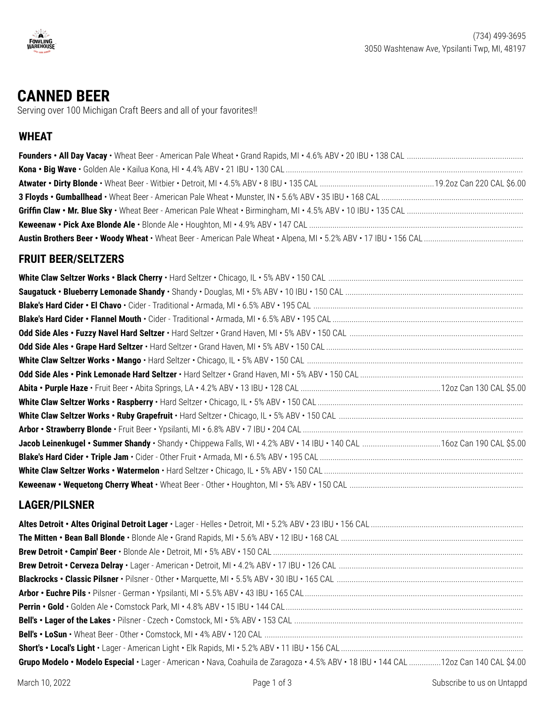

# **CANNED BEER**

Serving over 100 Michigan Craft Beers and all of your favorites!!

# **WHEAT**

#### **FRUIT BEER/SELTZERS**

#### **LAGER/PILSNER**

| Grupo Modelo • Modelo Especial • Lager - American • Nava, Coahuila de Zaragoza • 4.5% ABV • 18 IBU • 144 CAL 12oz Can 140 CAL \$4.00 |
|--------------------------------------------------------------------------------------------------------------------------------------|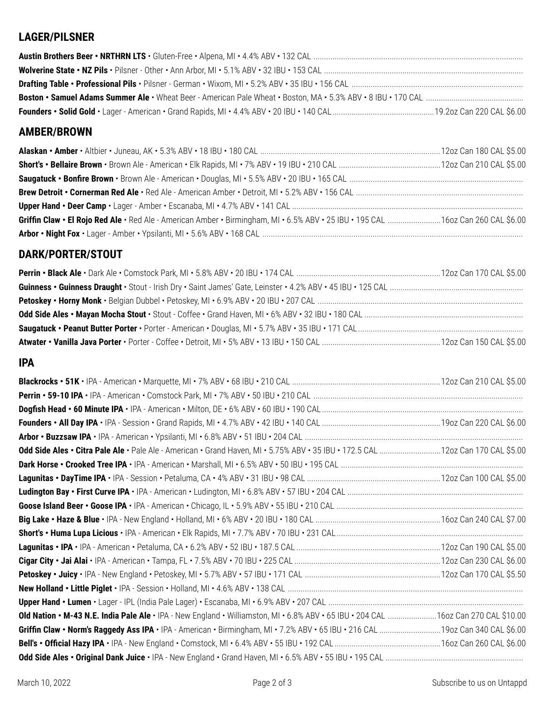# **LAGER/PILSNER**

# **AMBER/BROWN**

| Griffin Claw • El Rojo Red Ale • Red Ale - American Amber • Birmingham, MI • 6.5% ABV • 25 IBU • 195 CAL 16oz Can 260 CAL \$6.00 |  |
|----------------------------------------------------------------------------------------------------------------------------------|--|
|                                                                                                                                  |  |

# **DARK/PORTER/STOUT**

#### **IPA**

| Odd Side Ales • Citra Pale Ale • Pale Ale - American • Grand Haven, MI • 5.75% ABV • 35 IBU • 172.5 CAL 12oz Can 170 CAL \$5.00    |  |
|------------------------------------------------------------------------------------------------------------------------------------|--|
|                                                                                                                                    |  |
|                                                                                                                                    |  |
|                                                                                                                                    |  |
|                                                                                                                                    |  |
|                                                                                                                                    |  |
|                                                                                                                                    |  |
|                                                                                                                                    |  |
|                                                                                                                                    |  |
|                                                                                                                                    |  |
|                                                                                                                                    |  |
|                                                                                                                                    |  |
| Old Nation • M-43 N.E. India Pale Ale • IPA - New England • Williamston, MI • 6.8% ABV • 65 IBU • 204 CAL 160z Can 270 CAL \$10.00 |  |
| Griffin Claw • Norm's Raggedy Ass IPA • IPA - American • Birmingham, MI • 7.2% ABV • 65 IBU • 216 CAL 19oz Can 340 CAL \$6.00      |  |
|                                                                                                                                    |  |
|                                                                                                                                    |  |